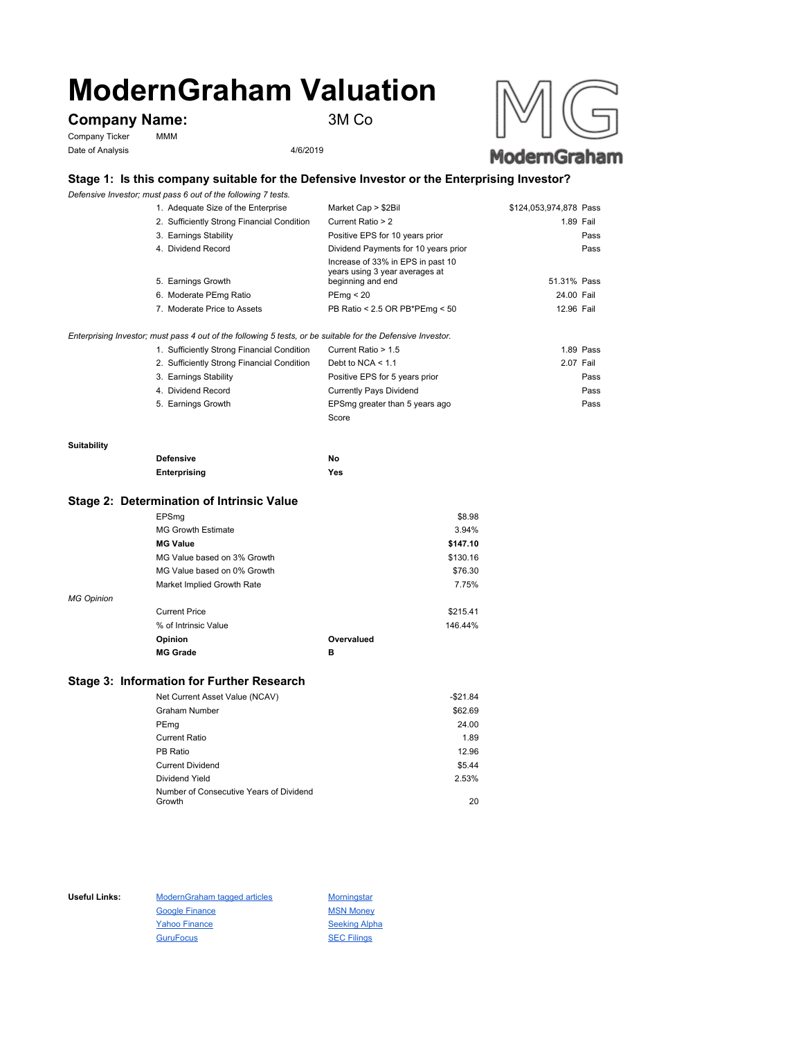# **ModernGraham Valuation**

# **Company Name:** 3M Co

Company Ticker MMM Date of Analysis 4/6/2019



## **Stage 1: Is this company suitable for the Defensive Investor or the Enterprising Investor?**

*Defensive Investor; must pass 6 out of the following 7 tests.*

| 1. Adequate Size of the Enterprise         | Market Cap > \$2Bil                                                 | \$124,053,974,878 Pass |
|--------------------------------------------|---------------------------------------------------------------------|------------------------|
| 2. Sufficiently Strong Financial Condition | Current Ratio > 2                                                   | 1.89 Fail              |
| 3. Earnings Stability                      | Positive EPS for 10 years prior                                     | Pass                   |
| 4. Dividend Record                         | Dividend Payments for 10 years prior                                | Pass                   |
|                                            | Increase of 33% in EPS in past 10<br>years using 3 year averages at |                        |
| 5. Earnings Growth                         | beginning and end                                                   | 51.31% Pass            |
| 6. Moderate PEmg Ratio                     | PEmg < 20                                                           | 24.00 Fail             |
| 7. Moderate Price to Assets                | PB Ratio < 2.5 OR PB*PEmg < 50                                      | 12.96 Fail             |
|                                            |                                                                     |                        |

*Enterprising Investor; must pass 4 out of the following 5 tests, or be suitable for the Defensive Investor.*

| 1. Sufficiently Strong Financial Condition | Current Ratio > 1.5            | 1.89 Pass |
|--------------------------------------------|--------------------------------|-----------|
| 2. Sufficiently Strong Financial Condition | Debt to NCA $<$ 1.1            | 2.07 Fail |
| 3. Earnings Stability                      | Positive EPS for 5 years prior | Pass      |
| 4. Dividend Record                         | <b>Currently Pays Dividend</b> | Pass      |
| 5. Earnings Growth                         | EPSmg greater than 5 years ago | Pass      |
|                                            | Score                          |           |

#### **Suitability**

| <b>Defensive</b> | Νo  |
|------------------|-----|
| Enterprising     | Yes |

#### **Stage 2: Determination of Intrinsic Value**

|                   | EPSmg                       |            | \$8.98   |
|-------------------|-----------------------------|------------|----------|
|                   | <b>MG Growth Estimate</b>   |            | 3.94%    |
|                   | <b>MG Value</b>             |            | \$147.10 |
|                   | MG Value based on 3% Growth |            | \$130.16 |
|                   | MG Value based on 0% Growth |            | \$76.30  |
|                   | Market Implied Growth Rate  |            | 7.75%    |
| <b>MG Opinion</b> |                             |            |          |
|                   | <b>Current Price</b>        |            | \$215.41 |
|                   | % of Intrinsic Value        |            | 146.44%  |
|                   | Opinion                     | Overvalued |          |
|                   | <b>MG Grade</b>             | в          |          |
|                   |                             |            |          |

### **Stage 3: Information for Further Research**

| Net Current Asset Value (NCAV)          | $-$21.84$ |
|-----------------------------------------|-----------|
| Graham Number                           | \$62.69   |
| PEmg                                    | 24.00     |
| Current Ratio                           | 1.89      |
| PB Ratio                                | 12.96     |
| <b>Current Dividend</b>                 | \$5.44    |
| Dividend Yield                          | 2.53%     |
| Number of Consecutive Years of Dividend |           |
| Growth                                  | 20        |

Useful Links: ModernGraham tagged articles Morningstar Google Finance MSN Money Yahoo Finance Seeking Alpha GuruFocus SEC Filings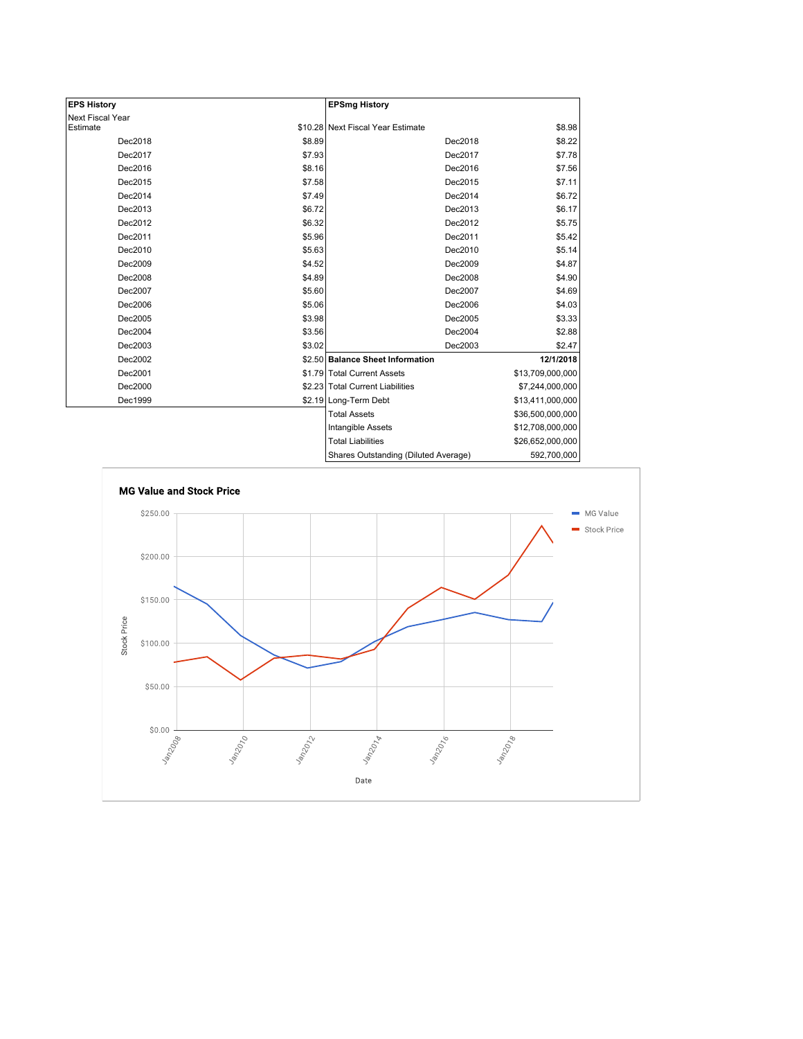| <b>EPS History</b> |        | <b>EPSmg History</b>                 |                  |
|--------------------|--------|--------------------------------------|------------------|
| Next Fiscal Year   |        |                                      |                  |
| Estimate           |        | \$10.28 Next Fiscal Year Estimate    | \$8.98           |
| Dec2018            | \$8.89 | Dec2018                              | \$8.22           |
| Dec2017            | \$7.93 | Dec2017                              | \$7.78           |
| Dec2016            | \$8.16 | Dec2016                              | \$7.56           |
| Dec2015            | \$7.58 | Dec2015                              | \$7.11           |
| Dec2014            | \$7.49 | Dec2014                              | \$6.72           |
| Dec2013            | \$6.72 | Dec2013                              | \$6.17           |
| Dec2012            | \$6.32 | Dec2012                              | \$5.75           |
| Dec2011            | \$5.96 | Dec2011                              | \$5.42           |
| Dec2010            | \$5.63 | Dec2010                              | \$5.14           |
| Dec2009            | \$4.52 | Dec2009                              | \$4.87           |
| Dec2008            | \$4.89 | Dec2008                              | \$4.90           |
| Dec2007            | \$5.60 | Dec2007                              | \$4.69           |
| Dec2006            | \$5.06 | Dec2006                              | \$4.03           |
| Dec2005            | \$3.98 | Dec2005                              | \$3.33           |
| Dec2004            | \$3.56 | Dec2004                              | \$2.88           |
| Dec2003            | \$3.02 | Dec2003                              | \$2.47           |
| Dec2002            |        | \$2.50 Balance Sheet Information     | 12/1/2018        |
| Dec2001            |        | \$1.79 Total Current Assets          | \$13,709,000,000 |
| Dec2000            |        | \$2.23 Total Current Liabilities     | \$7,244,000,000  |
| Dec1999            |        | \$2.19 Long-Term Debt                | \$13,411,000,000 |
|                    |        | <b>Total Assets</b>                  | \$36,500,000,000 |
|                    |        | Intangible Assets                    | \$12,708,000,000 |
|                    |        | <b>Total Liabilities</b>             | \$26,652,000,000 |
|                    |        | Shares Outstanding (Diluted Average) | 592,700,000      |